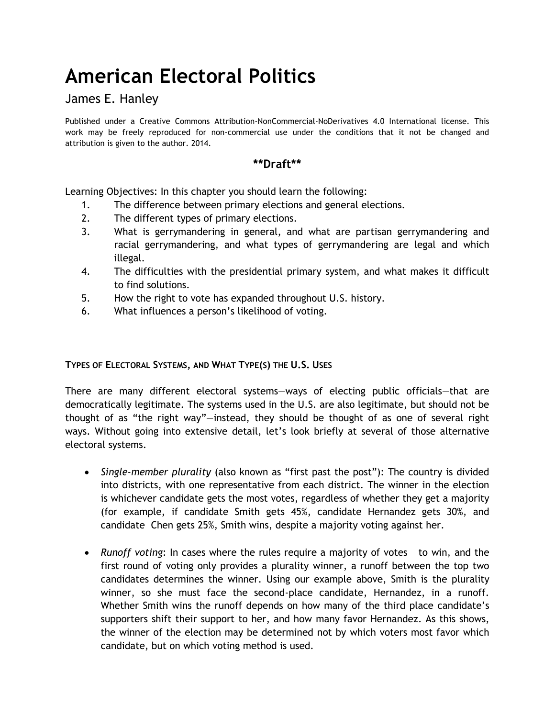# **American Electoral Politics**

James E. Hanley

Published under a Creative Commons Attribution-NonCommercial-NoDerivatives 4.0 International license. This work may be freely reproduced for non-commercial use under the conditions that it not be changed and attribution is given to the author. 2014.

# **\*\*Draft\*\***

Learning Objectives: In this chapter you should learn the following:

- 1. The difference between primary elections and general elections.
- 2. The different types of primary elections.
- 3. What is gerrymandering in general, and what are partisan gerrymandering and racial gerrymandering, and what types of gerrymandering are legal and which illegal.
- 4. The difficulties with the presidential primary system, and what makes it difficult to find solutions.
- 5. How the right to vote has expanded throughout U.S. history.
- 6. What influences a person's likelihood of voting.

# **TYPES OF ELECTORAL SYSTEMS, AND WHAT TYPE(S) THE U.S. USES**

There are many different electoral systems—ways of electing public officials—that are democratically legitimate. The systems used in the U.S. are also legitimate, but should not be thought of as "the right way"—instead, they should be thought of as one of several right ways. Without going into extensive detail, let's look briefly at several of those alternative electoral systems.

- *Single-member plurality* (also known as "first past the post"): The country is divided into districts, with one representative from each district. The winner in the election is whichever candidate gets the most votes, regardless of whether they get a majority (for example, if candidate Smith gets 45%, candidate Hernandez gets 30%, and candidate Chen gets 25%, Smith wins, despite a majority voting against her.
- *Runoff voting*: In cases where the rules require a majority of votes to win, and the first round of voting only provides a plurality winner, a runoff between the top two candidates determines the winner. Using our example above, Smith is the plurality winner, so she must face the second-place candidate, Hernandez, in a runoff. Whether Smith wins the runoff depends on how many of the third place candidate's supporters shift their support to her, and how many favor Hernandez. As this shows, the winner of the election may be determined not by which voters most favor which candidate, but on which voting method is used.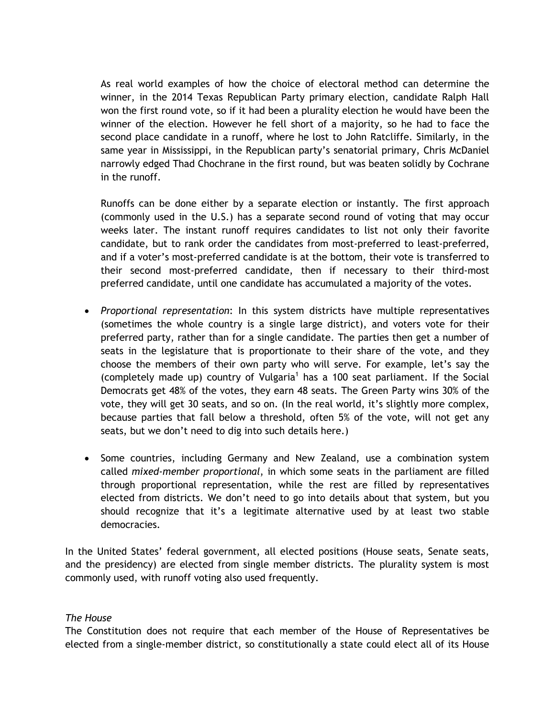As real world examples of how the choice of electoral method can determine the winner, in the 2014 Texas Republican Party primary election, candidate Ralph Hall won the first round vote, so if it had been a plurality election he would have been the winner of the election. However he fell short of a majority, so he had to face the second place candidate in a runoff, where he lost to John Ratcliffe. Similarly, in the same year in Mississippi, in the Republican party's senatorial primary, Chris McDaniel narrowly edged Thad Chochrane in the first round, but was beaten solidly by Cochrane in the runoff.

Runoffs can be done either by a separate election or instantly. The first approach (commonly used in the U.S.) has a separate second round of voting that may occur weeks later. The instant runoff requires candidates to list not only their favorite candidate, but to rank order the candidates from most-preferred to least-preferred, and if a voter's most-preferred candidate is at the bottom, their vote is transferred to their second most-preferred candidate, then if necessary to their third-most preferred candidate, until one candidate has accumulated a majority of the votes.

- *Proportional representation*: In this system districts have multiple representatives (sometimes the whole country is a single large district), and voters vote for their preferred party, rather than for a single candidate. The parties then get a number of seats in the legislature that is proportionate to their share of the vote, and they choose the members of their own party who will serve. For example, let's say the (completely made up) country of Vulgaria<sup>1</sup> has a 100 seat parliament. If the Social Democrats get 48% of the votes, they earn 48 seats. The Green Party wins 30% of the vote, they will get 30 seats, and so on. (In the real world, it's slightly more complex, because parties that fall below a threshold, often 5% of the vote, will not get any seats, but we don't need to dig into such details here.)
- Some countries, including Germany and New Zealand, use a combination system called *mixed-member proportional*, in which some seats in the parliament are filled through proportional representation, while the rest are filled by representatives elected from districts. We don't need to go into details about that system, but you should recognize that it's a legitimate alternative used by at least two stable democracies.

In the United States' federal government, all elected positions (House seats, Senate seats, and the presidency) are elected from single member districts. The plurality system is most commonly used, with runoff voting also used frequently.

### *The House*

The Constitution does not require that each member of the House of Representatives be elected from a single-member district, so constitutionally a state could elect all of its House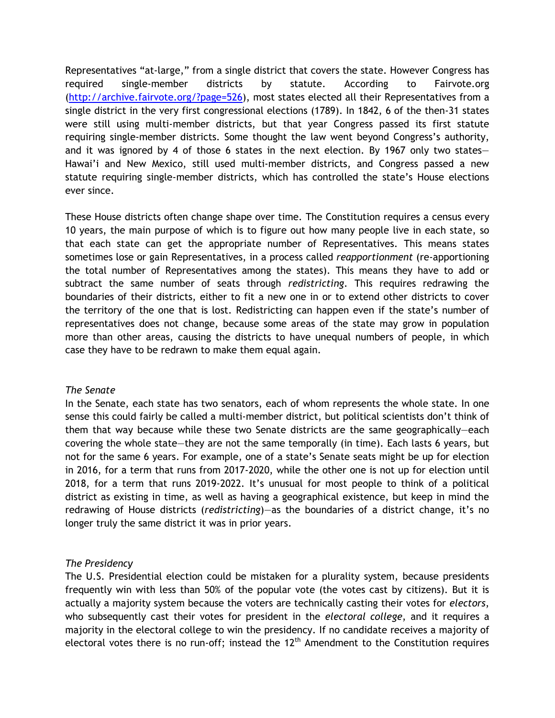Representatives "at-large," from a single district that covers the state. However Congress has required single-member districts by statute. According to Fairvote.org (http://archive.fairvote.org/?page=526), most states elected all their Representatives from a single district in the very first congressional elections (1789). In 1842, 6 of the then-31 states were still using multi-member districts, but that year Congress passed its first statute requiring single-member districts. Some thought the law went beyond Congress's authority, and it was ignored by 4 of those 6 states in the next election. By 1967 only two states— Hawai'i and New Mexico, still used multi-member districts, and Congress passed a new statute requiring single-member districts, which has controlled the state's House elections ever since.

These House districts often change shape over time. The Constitution requires a census every 10 years, the main purpose of which is to figure out how many people live in each state, so that each state can get the appropriate number of Representatives. This means states sometimes lose or gain Representatives, in a process called *reapportionment* (re-apportioning the total number of Representatives among the states). This means they have to add or subtract the same number of seats through *redistricting*. This requires redrawing the boundaries of their districts, either to fit a new one in or to extend other districts to cover the territory of the one that is lost. Redistricting can happen even if the state's number of representatives does not change, because some areas of the state may grow in population more than other areas, causing the districts to have unequal numbers of people, in which case they have to be redrawn to make them equal again.

#### *The Senate*

In the Senate, each state has two senators, each of whom represents the whole state. In one sense this could fairly be called a multi-member district, but political scientists don't think of them that way because while these two Senate districts are the same geographically—each covering the whole state—they are not the same temporally (in time). Each lasts 6 years, but not for the same 6 years. For example, one of a state's Senate seats might be up for election in 2016, for a term that runs from 2017-2020, while the other one is not up for election until 2018, for a term that runs 2019-2022. It's unusual for most people to think of a political district as existing in time, as well as having a geographical existence, but keep in mind the redrawing of House districts (*redistricting*)—as the boundaries of a district change, it's no longer truly the same district it was in prior years.

### *The Presidency*

The U.S. Presidential election could be mistaken for a plurality system, because presidents frequently win with less than 50% of the popular vote (the votes cast by citizens). But it is actually a majority system because the voters are technically casting their votes for *electors*, who subsequently cast their votes for president in the *electoral college*, and it requires a majority in the electoral college to win the presidency. If no candidate receives a majority of electoral votes there is no run-off; instead the  $12<sup>th</sup>$  Amendment to the Constitution requires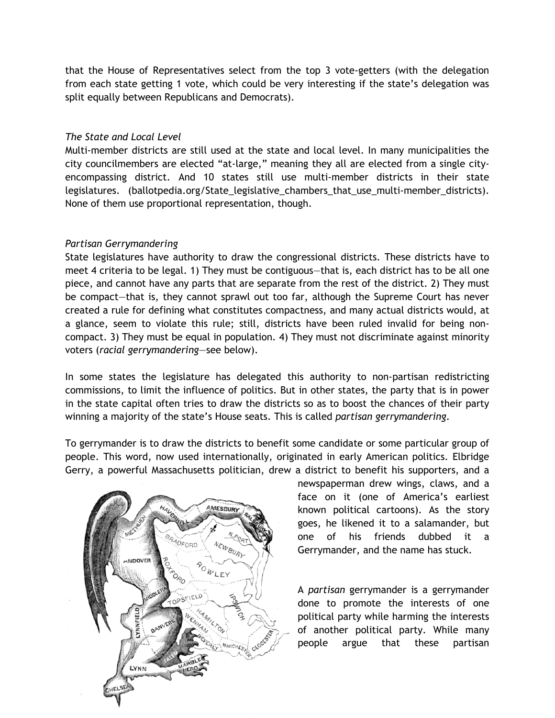that the House of Representatives select from the top 3 vote-getters (with the delegation from each state getting 1 vote, which could be very interesting if the state's delegation was split equally between Republicans and Democrats).

## *The State and Local Level*

Multi-member districts are still used at the state and local level. In many municipalities the city councilmembers are elected "at-large," meaning they all are elected from a single cityencompassing district. And 10 states still use multi-member districts in their state legislatures. (ballotpedia.org/State\_legislative\_chambers\_that\_use\_multi-member\_districts). None of them use proportional representation, though.

# *Partisan Gerrymandering*

State legislatures have authority to draw the congressional districts. These districts have to meet 4 criteria to be legal. 1) They must be contiguous—that is, each district has to be all one piece, and cannot have any parts that are separate from the rest of the district. 2) They must be compact—that is, they cannot sprawl out too far, although the Supreme Court has never created a rule for defining what constitutes compactness, and many actual districts would, at a glance, seem to violate this rule; still, districts have been ruled invalid for being noncompact. 3) They must be equal in population. 4) They must not discriminate against minority voters (*racial gerrymandering*—see below).

In some states the legislature has delegated this authority to non-partisan redistricting commissions, to limit the influence of politics. But in other states, the party that is in power in the state capital often tries to draw the districts so as to boost the chances of their party winning a majority of the state's House seats. This is called *partisan gerrymandering*.

To gerrymander is to draw the districts to benefit some candidate or some particular group of people. This word, now used internationally, originated in early American politics. Elbridge Gerry, a powerful Massachusetts politician, drew a district to benefit his supporters, and a



newspaperman drew wings, claws, and a face on it (one of America's earliest known political cartoons). As the story goes, he likened it to a salamander, but one of his friends dubbed it a Gerrymander, and the name has stuck.

A *partisan* gerrymander is a gerrymander done to promote the interests of one political party while harming the interests of another political party. While many people argue that these partisan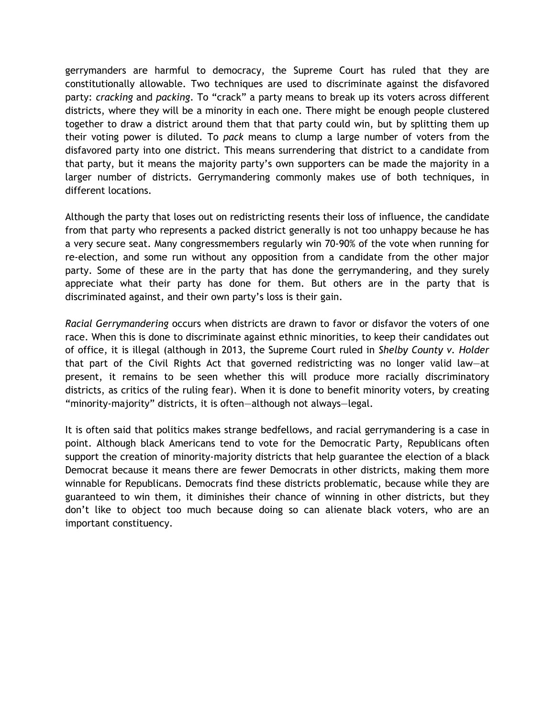gerrymanders are harmful to democracy, the Supreme Court has ruled that they are constitutionally allowable. Two techniques are used to discriminate against the disfavored party: *cracking* and *packing*. To "crack" a party means to break up its voters across different districts, where they will be a minority in each one. There might be enough people clustered together to draw a district around them that that party could win, but by splitting them up their voting power is diluted. To *pack* means to clump a large number of voters from the disfavored party into one district. This means surrendering that district to a candidate from that party, but it means the majority party's own supporters can be made the majority in a larger number of districts. Gerrymandering commonly makes use of both techniques, in different locations.

Although the party that loses out on redistricting resents their loss of influence, the candidate from that party who represents a packed district generally is not too unhappy because he has a very secure seat. Many congressmembers regularly win 70-90% of the vote when running for re-election, and some run without any opposition from a candidate from the other major party. Some of these are in the party that has done the gerrymandering, and they surely appreciate what their party has done for them. But others are in the party that is discriminated against, and their own party's loss is their gain.

*Racial Gerrymandering* occurs when districts are drawn to favor or disfavor the voters of one race. When this is done to discriminate against ethnic minorities, to keep their candidates out of office, it is illegal (although in 2013, the Supreme Court ruled in *Shelby County v. Holder* that part of the Civil Rights Act that governed redistricting was no longer valid law—at present, it remains to be seen whether this will produce more racially discriminatory districts, as critics of the ruling fear). When it is done to benefit minority voters, by creating "minority-majority" districts, it is often—although not always—legal.

It is often said that politics makes strange bedfellows, and racial gerrymandering is a case in point. Although black Americans tend to vote for the Democratic Party, Republicans often support the creation of minority-majority districts that help guarantee the election of a black Democrat because it means there are fewer Democrats in other districts, making them more winnable for Republicans. Democrats find these districts problematic, because while they are guaranteed to win them, it diminishes their chance of winning in other districts, but they don't like to object too much because doing so can alienate black voters, who are an important constituency.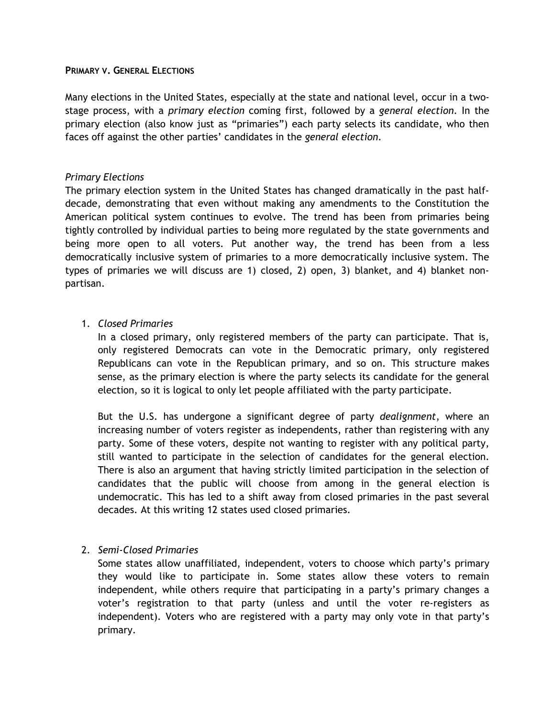#### **PRIMARY V. GENERAL ELECTIONS**

Many elections in the United States, especially at the state and national level, occur in a twostage process, with a *primary election* coming first, followed by a *general election*. In the primary election (also know just as "primaries") each party selects its candidate, who then faces off against the other parties' candidates in the *general election*.

### *Primary Elections*

The primary election system in the United States has changed dramatically in the past halfdecade, demonstrating that even without making any amendments to the Constitution the American political system continues to evolve. The trend has been from primaries being tightly controlled by individual parties to being more regulated by the state governments and being more open to all voters. Put another way, the trend has been from a less democratically inclusive system of primaries to a more democratically inclusive system. The types of primaries we will discuss are 1) closed, 2) open, 3) blanket, and 4) blanket nonpartisan.

### 1. *Closed Primaries*

In a closed primary, only registered members of the party can participate. That is, only registered Democrats can vote in the Democratic primary, only registered Republicans can vote in the Republican primary, and so on. This structure makes sense, as the primary election is where the party selects its candidate for the general election, so it is logical to only let people affiliated with the party participate.

But the U.S. has undergone a significant degree of party *dealignment*, where an increasing number of voters register as independents, rather than registering with any party. Some of these voters, despite not wanting to register with any political party, still wanted to participate in the selection of candidates for the general election. There is also an argument that having strictly limited participation in the selection of candidates that the public will choose from among in the general election is undemocratic. This has led to a shift away from closed primaries in the past several decades. At this writing 12 states used closed primaries.

### 2. *Semi-Closed Primaries*

Some states allow unaffiliated, independent, voters to choose which party's primary they would like to participate in. Some states allow these voters to remain independent, while others require that participating in a party's primary changes a voter's registration to that party (unless and until the voter re-registers as independent). Voters who are registered with a party may only vote in that party's primary.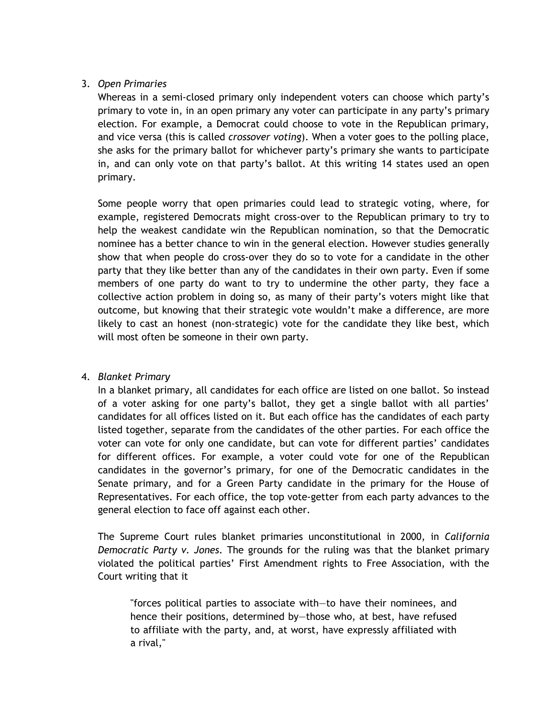# 3. *Open Primaries*

Whereas in a semi-closed primary only independent voters can choose which party's primary to vote in, in an open primary any voter can participate in any party's primary election. For example, a Democrat could choose to vote in the Republican primary, and vice versa (this is called *crossover voting*). When a voter goes to the polling place, she asks for the primary ballot for whichever party's primary she wants to participate in, and can only vote on that party's ballot. At this writing 14 states used an open primary.

Some people worry that open primaries could lead to strategic voting, where, for example, registered Democrats might cross-over to the Republican primary to try to help the weakest candidate win the Republican nomination, so that the Democratic nominee has a better chance to win in the general election. However studies generally show that when people do cross-over they do so to vote for a candidate in the other party that they like better than any of the candidates in their own party. Even if some members of one party do want to try to undermine the other party, they face a collective action problem in doing so, as many of their party's voters might like that outcome, but knowing that their strategic vote wouldn't make a difference, are more likely to cast an honest (non-strategic) vote for the candidate they like best, which will most often be someone in their own party.

### 4. *Blanket Primary*

In a blanket primary, all candidates for each office are listed on one ballot. So instead of a voter asking for one party's ballot, they get a single ballot with all parties' candidates for all offices listed on it. But each office has the candidates of each party listed together, separate from the candidates of the other parties. For each office the voter can vote for only one candidate, but can vote for different parties' candidates for different offices. For example, a voter could vote for one of the Republican candidates in the governor's primary, for one of the Democratic candidates in the Senate primary, and for a Green Party candidate in the primary for the House of Representatives. For each office, the top vote-getter from each party advances to the general election to face off against each other.

The Supreme Court rules blanket primaries unconstitutional in 2000, in *California Democratic Party v. Jones*. The grounds for the ruling was that the blanket primary violated the political parties' First Amendment rights to Free Association, with the Court writing that it

"forces political parties to associate with—to have their nominees, and hence their positions, determined by—those who, at best, have refused to affiliate with the party, and, at worst, have expressly affiliated with a rival,"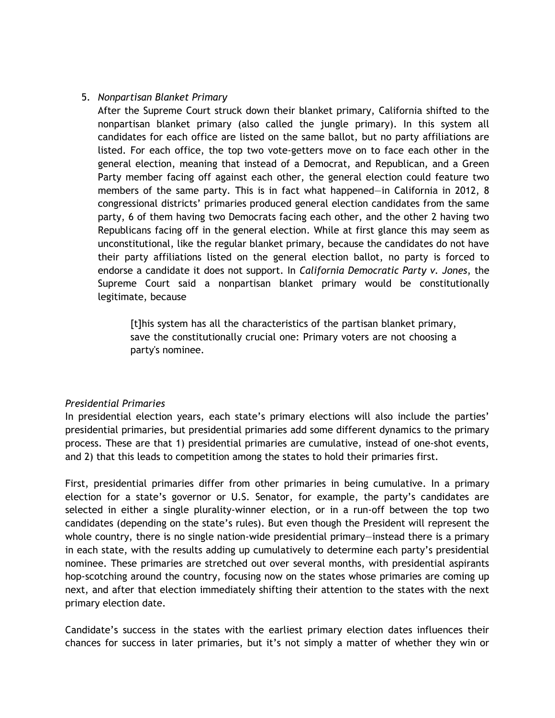### 5. *Nonpartisan Blanket Primary*

After the Supreme Court struck down their blanket primary, California shifted to the nonpartisan blanket primary (also called the jungle primary). In this system all candidates for each office are listed on the same ballot, but no party affiliations are listed. For each office, the top two vote-getters move on to face each other in the general election, meaning that instead of a Democrat, and Republican, and a Green Party member facing off against each other, the general election could feature two members of the same party. This is in fact what happened—in California in 2012, 8 congressional districts' primaries produced general election candidates from the same party, 6 of them having two Democrats facing each other, and the other 2 having two Republicans facing off in the general election. While at first glance this may seem as unconstitutional, like the regular blanket primary, because the candidates do not have their party affiliations listed on the general election ballot, no party is forced to endorse a candidate it does not support. In *California Democratic Party v. Jones*, the Supreme Court said a nonpartisan blanket primary would be constitutionally legitimate, because

[t]his system has all the characteristics of the partisan blanket primary, save the constitutionally crucial one: Primary voters are not choosing a party's nominee.

### *Presidential Primaries*

In presidential election years, each state's primary elections will also include the parties' presidential primaries, but presidential primaries add some different dynamics to the primary process. These are that 1) presidential primaries are cumulative, instead of one-shot events, and 2) that this leads to competition among the states to hold their primaries first.

First, presidential primaries differ from other primaries in being cumulative. In a primary election for a state's governor or U.S. Senator, for example, the party's candidates are selected in either a single plurality-winner election, or in a run-off between the top two candidates (depending on the state's rules). But even though the President will represent the whole country, there is no single nation-wide presidential primary—instead there is a primary in each state, with the results adding up cumulatively to determine each party's presidential nominee. These primaries are stretched out over several months, with presidential aspirants hop-scotching around the country, focusing now on the states whose primaries are coming up next, and after that election immediately shifting their attention to the states with the next primary election date.

Candidate's success in the states with the earliest primary election dates influences their chances for success in later primaries, but it's not simply a matter of whether they win or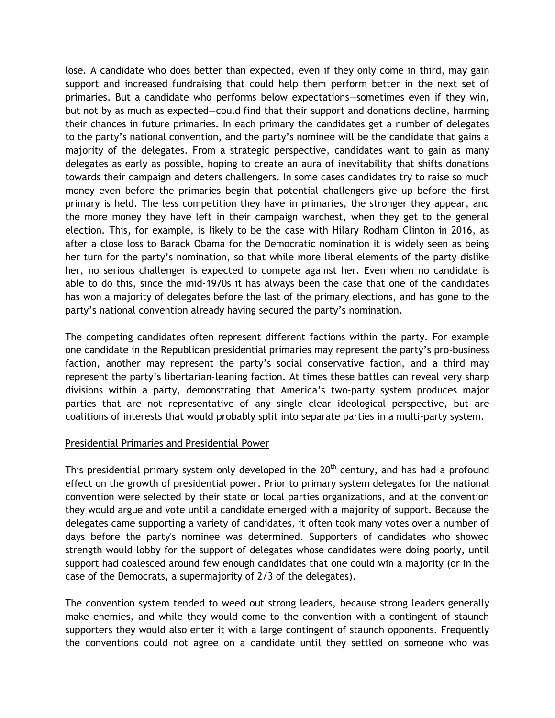lose. A candidate who does better than expected, even if they only come in third, may gain support and increased fundraising that could help them perform better in the next set of primaries. But a candidate who performs below expectations—sometimes even if they win, but not by as much as expected—could find that their support and donations decline, harming their chances in future primaries. In each primary the candidates get a number of delegates to the party's national convention, and the party's nominee will be the candidate that gains a majority of the delegates. From a strategic perspective, candidates want to gain as many delegates as early as possible, hoping to create an aura of inevitability that shifts donations towards their campaign and deters challengers. In some cases candidates try to raise so much money even before the primaries begin that potential challengers give up before the first primary is held. The less competition they have in primaries, the stronger they appear, and the more money they have left in their campaign warchest, when they get to the general election. This, for example, is likely to be the case with Hilary Rodham Clinton in 2016, as after a close loss to Barack Obama for the Democratic nomination it is widely seen as being her turn for the party's nomination, so that while more liberal elements of the party dislike her, no serious challenger is expected to compete against her. Even when no candidate is able to do this, since the mid-1970s it has always been the case that one of the candidates has won a majority of delegates before the last of the primary elections, and has gone to the party's national convention already having secured the party's nomination.

The competing candidates often represent different factions within the party. For example one candidate in the Republican presidential primaries may represent the party's pro-business faction, another may represent the party's social conservative faction, and a third may represent the party's libertarian-leaning faction. At times these battles can reveal very sharp divisions within a party, demonstrating that America's two-party system produces major parties that are not representative of any single clear ideological perspective, but are coalitions of interests that would probably split into separate parties in a multi-party system.

### Presidential Primaries and Presidential Power

This presidential primary system only developed in the  $20<sup>th</sup>$  century, and has had a profound effect on the growth of presidential power. Prior to primary system delegates for the national convention were selected by their state or local parties organizations, and at the convention they would argue and vote until a candidate emerged with a majority of support. Because the delegates came supporting a variety of candidates, it often took many votes over a number of days before the party's nominee was determined. Supporters of candidates who showed strength would lobby for the support of delegates whose candidates were doing poorly, until support had coalesced around few enough candidates that one could win a majority (or in the case of the Democrats, a supermajority of 2/3 of the delegates).

The convention system tended to weed out strong leaders, because strong leaders generally make enemies, and while they would come to the convention with a contingent of staunch supporters they would also enter it with a large contingent of staunch opponents. Frequently the conventions could not agree on a candidate until they settled on someone who was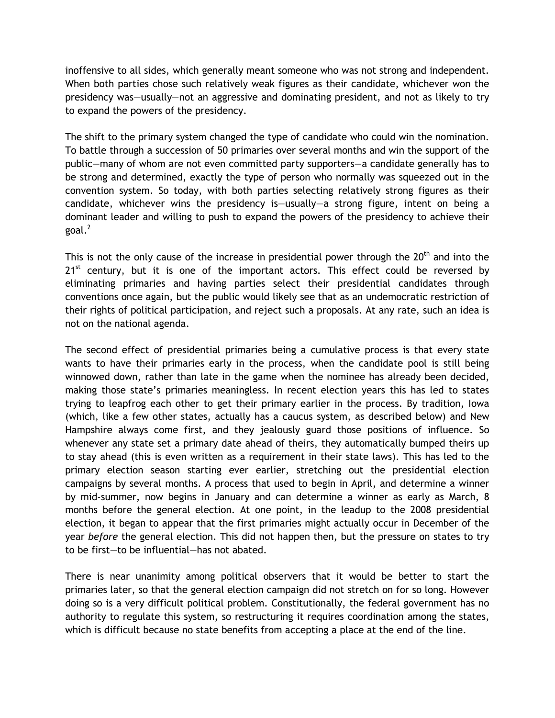inoffensive to all sides, which generally meant someone who was not strong and independent. When both parties chose such relatively weak figures as their candidate, whichever won the presidency was—usually—not an aggressive and dominating president, and not as likely to try to expand the powers of the presidency.

The shift to the primary system changed the type of candidate who could win the nomination. To battle through a succession of 50 primaries over several months and win the support of the public—many of whom are not even committed party supporters—a candidate generally has to be strong and determined, exactly the type of person who normally was squeezed out in the convention system. So today, with both parties selecting relatively strong figures as their candidate, whichever wins the presidency is—usually—a strong figure, intent on being a dominant leader and willing to push to expand the powers of the presidency to achieve their goal. $^2$ 

This is not the only cause of the increase in presidential power through the  $20<sup>th</sup>$  and into the  $21<sup>st</sup>$  century, but it is one of the important actors. This effect could be reversed by eliminating primaries and having parties select their presidential candidates through conventions once again, but the public would likely see that as an undemocratic restriction of their rights of political participation, and reject such a proposals. At any rate, such an idea is not on the national agenda.

The second effect of presidential primaries being a cumulative process is that every state wants to have their primaries early in the process, when the candidate pool is still being winnowed down, rather than late in the game when the nominee has already been decided, making those state's primaries meaningless. In recent election years this has led to states trying to leapfrog each other to get their primary earlier in the process. By tradition, Iowa (which, like a few other states, actually has a caucus system, as described below) and New Hampshire always come first, and they jealously guard those positions of influence. So whenever any state set a primary date ahead of theirs, they automatically bumped theirs up to stay ahead (this is even written as a requirement in their state laws). This has led to the primary election season starting ever earlier, stretching out the presidential election campaigns by several months. A process that used to begin in April, and determine a winner by mid-summer, now begins in January and can determine a winner as early as March, 8 months before the general election. At one point, in the leadup to the 2008 presidential election, it began to appear that the first primaries might actually occur in December of the year *before* the general election. This did not happen then, but the pressure on states to try to be first—to be influential—has not abated.

There is near unanimity among political observers that it would be better to start the primaries later, so that the general election campaign did not stretch on for so long. However doing so is a very difficult political problem. Constitutionally, the federal government has no authority to regulate this system, so restructuring it requires coordination among the states, which is difficult because no state benefits from accepting a place at the end of the line.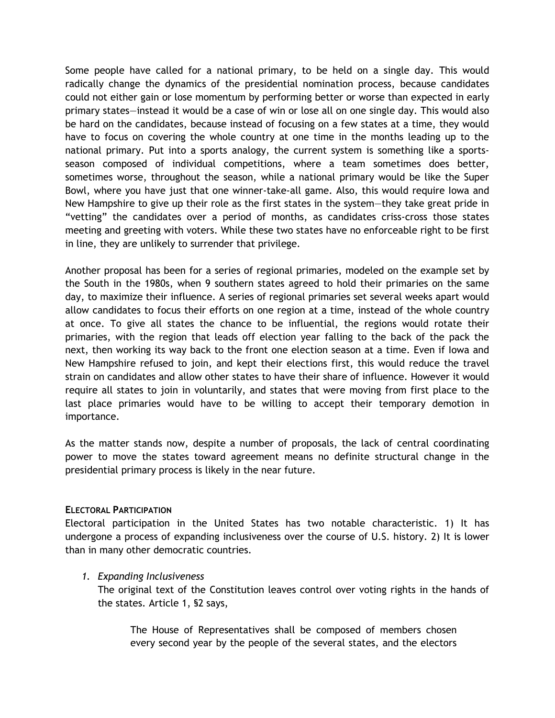Some people have called for a national primary, to be held on a single day. This would radically change the dynamics of the presidential nomination process, because candidates could not either gain or lose momentum by performing better or worse than expected in early primary states—instead it would be a case of win or lose all on one single day. This would also be hard on the candidates, because instead of focusing on a few states at a time, they would have to focus on covering the whole country at one time in the months leading up to the national primary. Put into a sports analogy, the current system is something like a sportsseason composed of individual competitions, where a team sometimes does better, sometimes worse, throughout the season, while a national primary would be like the Super Bowl, where you have just that one winner-take-all game. Also, this would require Iowa and New Hampshire to give up their role as the first states in the system—they take great pride in "vetting" the candidates over a period of months, as candidates criss-cross those states meeting and greeting with voters. While these two states have no enforceable right to be first in line, they are unlikely to surrender that privilege.

Another proposal has been for a series of regional primaries, modeled on the example set by the South in the 1980s, when 9 southern states agreed to hold their primaries on the same day, to maximize their influence. A series of regional primaries set several weeks apart would allow candidates to focus their efforts on one region at a time, instead of the whole country at once. To give all states the chance to be influential, the regions would rotate their primaries, with the region that leads off election year falling to the back of the pack the next, then working its way back to the front one election season at a time. Even if Iowa and New Hampshire refused to join, and kept their elections first, this would reduce the travel strain on candidates and allow other states to have their share of influence. However it would require all states to join in voluntarily, and states that were moving from first place to the last place primaries would have to be willing to accept their temporary demotion in importance.

As the matter stands now, despite a number of proposals, the lack of central coordinating power to move the states toward agreement means no definite structural change in the presidential primary process is likely in the near future.

### **ELECTORAL PARTICIPATION**

Electoral participation in the United States has two notable characteristic. 1) It has undergone a process of expanding inclusiveness over the course of U.S. history. 2) It is lower than in many other democratic countries.

### *1. Expanding Inclusiveness*

The original text of the Constitution leaves control over voting rights in the hands of the states. Article 1, §2 says,

The House of Representatives shall be composed of members chosen every second year by the people of the several states, and the electors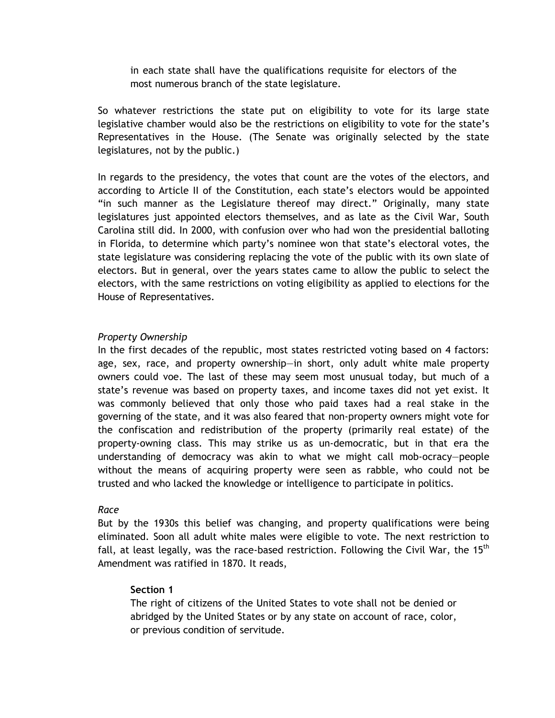in each state shall have the qualifications requisite for electors of the most numerous branch of the state legislature.

So whatever restrictions the state put on eligibility to vote for its large state legislative chamber would also be the restrictions on eligibility to vote for the state's Representatives in the House. (The Senate was originally selected by the state legislatures, not by the public.)

In regards to the presidency, the votes that count are the votes of the electors, and according to Article II of the Constitution, each state's electors would be appointed "in such manner as the Legislature thereof may direct." Originally, many state legislatures just appointed electors themselves, and as late as the Civil War, South Carolina still did. In 2000, with confusion over who had won the presidential balloting in Florida, to determine which party's nominee won that state's electoral votes, the state legislature was considering replacing the vote of the public with its own slate of electors. But in general, over the years states came to allow the public to select the electors, with the same restrictions on voting eligibility as applied to elections for the House of Representatives.

### *Property Ownership*

In the first decades of the republic, most states restricted voting based on 4 factors: age, sex, race, and property ownership—in short, only adult white male property owners could voe. The last of these may seem most unusual today, but much of a state's revenue was based on property taxes, and income taxes did not yet exist. It was commonly believed that only those who paid taxes had a real stake in the governing of the state, and it was also feared that non-property owners might vote for the confiscation and redistribution of the property (primarily real estate) of the property-owning class. This may strike us as un-democratic, but in that era the understanding of democracy was akin to what we might call mob-ocracy—people without the means of acquiring property were seen as rabble, who could not be trusted and who lacked the knowledge or intelligence to participate in politics.

#### *Race*

But by the 1930s this belief was changing, and property qualifications were being eliminated. Soon all adult white males were eligible to vote. The next restriction to fall, at least legally, was the race-based restriction. Following the Civil War, the 15<sup>th</sup> Amendment was ratified in 1870. It reads,

### **Section 1**

The right of citizens of the United States to vote shall not be denied or abridged by the United States or by any state on account of race, color, or previous condition of servitude.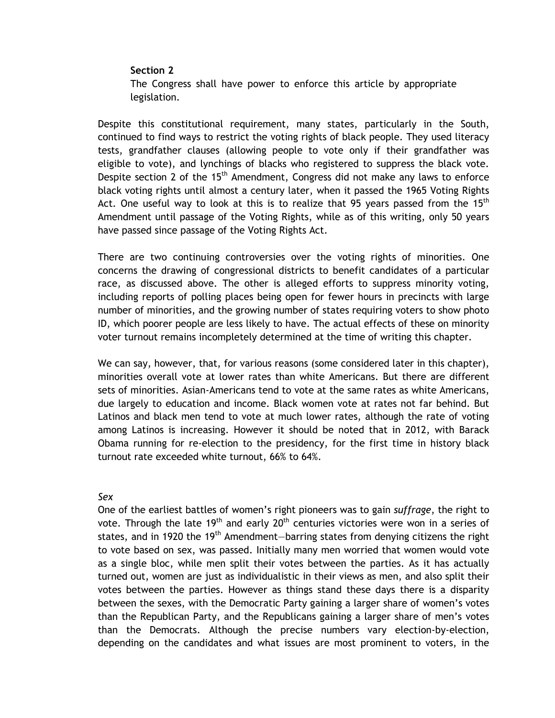#### **Section 2**

The Congress shall have power to enforce this article by appropriate legislation.

Despite this constitutional requirement, many states, particularly in the South, continued to find ways to restrict the voting rights of black people. They used literacy tests, grandfather clauses (allowing people to vote only if their grandfather was eligible to vote), and lynchings of blacks who registered to suppress the black vote. Despite section 2 of the  $15<sup>th</sup>$  Amendment, Congress did not make any laws to enforce black voting rights until almost a century later, when it passed the 1965 Voting Rights Act. One useful way to look at this is to realize that 95 years passed from the 15<sup>th</sup> Amendment until passage of the Voting Rights, while as of this writing, only 50 years have passed since passage of the Voting Rights Act.

There are two continuing controversies over the voting rights of minorities. One concerns the drawing of congressional districts to benefit candidates of a particular race, as discussed above. The other is alleged efforts to suppress minority voting, including reports of polling places being open for fewer hours in precincts with large number of minorities, and the growing number of states requiring voters to show photo ID, which poorer people are less likely to have. The actual effects of these on minority voter turnout remains incompletely determined at the time of writing this chapter.

We can say, however, that, for various reasons (some considered later in this chapter), minorities overall vote at lower rates than white Americans. But there are different sets of minorities. Asian-Americans tend to vote at the same rates as white Americans, due largely to education and income. Black women vote at rates not far behind. But Latinos and black men tend to vote at much lower rates, although the rate of voting among Latinos is increasing. However it should be noted that in 2012, with Barack Obama running for re-election to the presidency, for the first time in history black turnout rate exceeded white turnout, 66% to 64%.

#### *Sex*

One of the earliest battles of women's right pioneers was to gain *suffrage*, the right to vote. Through the late 19<sup>th</sup> and early 20<sup>th</sup> centuries victories were won in a series of states, and in 1920 the 19<sup>th</sup> Amendment-barring states from denying citizens the right to vote based on sex, was passed. Initially many men worried that women would vote as a single bloc, while men split their votes between the parties. As it has actually turned out, women are just as individualistic in their views as men, and also split their votes between the parties. However as things stand these days there is a disparity between the sexes, with the Democratic Party gaining a larger share of women's votes than the Republican Party, and the Republicans gaining a larger share of men's votes than the Democrats. Although the precise numbers vary election-by-election, depending on the candidates and what issues are most prominent to voters, in the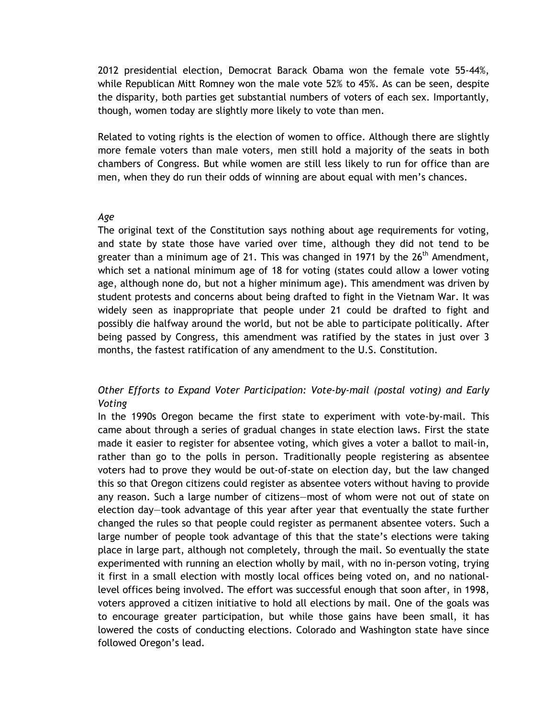2012 presidential election, Democrat Barack Obama won the female vote 55-44%, while Republican Mitt Romney won the male vote 52% to 45%. As can be seen, despite the disparity, both parties get substantial numbers of voters of each sex. Importantly, though, women today are slightly more likely to vote than men.

Related to voting rights is the election of women to office. Although there are slightly more female voters than male voters, men still hold a majority of the seats in both chambers of Congress. But while women are still less likely to run for office than are men, when they do run their odds of winning are about equal with men's chances.

#### *Age*

The original text of the Constitution says nothing about age requirements for voting, and state by state those have varied over time, although they did not tend to be greater than a minimum age of 21. This was changed in 1971 by the  $26<sup>th</sup>$  Amendment, which set a national minimum age of 18 for voting (states could allow a lower voting age, although none do, but not a higher minimum age). This amendment was driven by student protests and concerns about being drafted to fight in the Vietnam War. It was widely seen as inappropriate that people under 21 could be drafted to fight and possibly die halfway around the world, but not be able to participate politically. After being passed by Congress, this amendment was ratified by the states in just over 3 months, the fastest ratification of any amendment to the U.S. Constitution.

# *Other Efforts to Expand Voter Participation: Vote-by-mail (postal voting) and Early Voting*

In the 1990s Oregon became the first state to experiment with vote-by-mail. This came about through a series of gradual changes in state election laws. First the state made it easier to register for absentee voting, which gives a voter a ballot to mail-in, rather than go to the polls in person. Traditionally people registering as absentee voters had to prove they would be out-of-state on election day, but the law changed this so that Oregon citizens could register as absentee voters without having to provide any reason. Such a large number of citizens—most of whom were not out of state on election day—took advantage of this year after year that eventually the state further changed the rules so that people could register as permanent absentee voters. Such a large number of people took advantage of this that the state's elections were taking place in large part, although not completely, through the mail. So eventually the state experimented with running an election wholly by mail, with no in-person voting, trying it first in a small election with mostly local offices being voted on, and no nationallevel offices being involved. The effort was successful enough that soon after, in 1998, voters approved a citizen initiative to hold all elections by mail. One of the goals was to encourage greater participation, but while those gains have been small, it has lowered the costs of conducting elections. Colorado and Washington state have since followed Oregon's lead.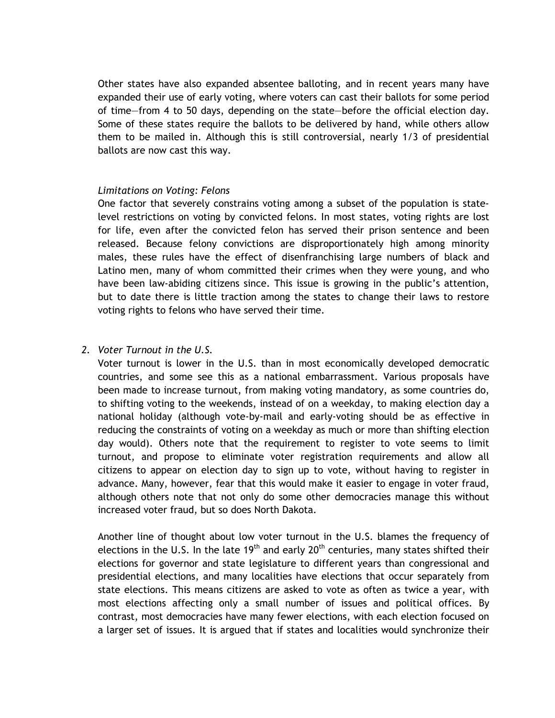Other states have also expanded absentee balloting, and in recent years many have expanded their use of early voting, where voters can cast their ballots for some period of time—from 4 to 50 days, depending on the state—before the official election day. Some of these states require the ballots to be delivered by hand, while others allow them to be mailed in. Although this is still controversial, nearly 1/3 of presidential ballots are now cast this way.

### *Limitations on Voting: Felons*

One factor that severely constrains voting among a subset of the population is statelevel restrictions on voting by convicted felons. In most states, voting rights are lost for life, even after the convicted felon has served their prison sentence and been released. Because felony convictions are disproportionately high among minority males, these rules have the effect of disenfranchising large numbers of black and Latino men, many of whom committed their crimes when they were young, and who have been law-abiding citizens since. This issue is growing in the public's attention, but to date there is little traction among the states to change their laws to restore voting rights to felons who have served their time.

#### *2. Voter Turnout in the U.S.*

Voter turnout is lower in the U.S. than in most economically developed democratic countries, and some see this as a national embarrassment. Various proposals have been made to increase turnout, from making voting mandatory, as some countries do, to shifting voting to the weekends, instead of on a weekday, to making election day a national holiday (although vote-by-mail and early-voting should be as effective in reducing the constraints of voting on a weekday as much or more than shifting election day would). Others note that the requirement to register to vote seems to limit turnout, and propose to eliminate voter registration requirements and allow all citizens to appear on election day to sign up to vote, without having to register in advance. Many, however, fear that this would make it easier to engage in voter fraud, although others note that not only do some other democracies manage this without increased voter fraud, but so does North Dakota.

Another line of thought about low voter turnout in the U.S. blames the frequency of elections in the U.S. In the late 19<sup>th</sup> and early 20<sup>th</sup> centuries, many states shifted their elections for governor and state legislature to different years than congressional and presidential elections, and many localities have elections that occur separately from state elections. This means citizens are asked to vote as often as twice a year, with most elections affecting only a small number of issues and political offices. By contrast, most democracies have many fewer elections, with each election focused on a larger set of issues. It is argued that if states and localities would synchronize their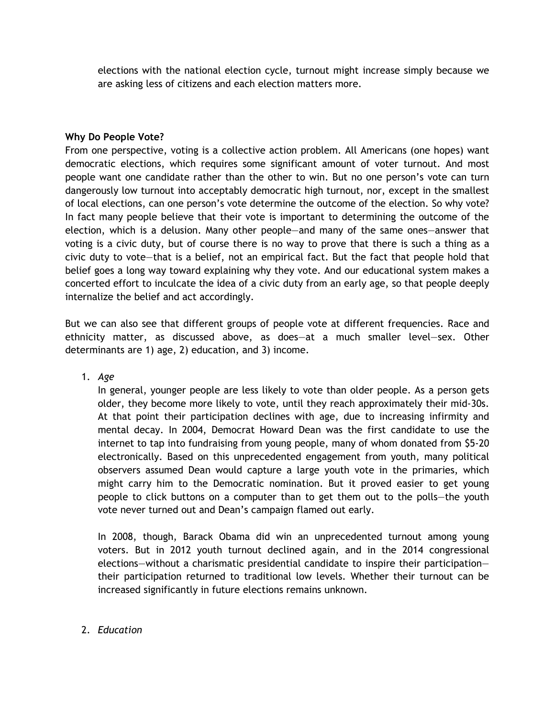elections with the national election cycle, turnout might increase simply because we are asking less of citizens and each election matters more.

## **Why Do People Vote?**

From one perspective, voting is a collective action problem. All Americans (one hopes) want democratic elections, which requires some significant amount of voter turnout. And most people want one candidate rather than the other to win. But no one person's vote can turn dangerously low turnout into acceptably democratic high turnout, nor, except in the smallest of local elections, can one person's vote determine the outcome of the election. So why vote? In fact many people believe that their vote is important to determining the outcome of the election, which is a delusion. Many other people—and many of the same ones—answer that voting is a civic duty, but of course there is no way to prove that there is such a thing as a civic duty to vote—that is a belief, not an empirical fact. But the fact that people hold that belief goes a long way toward explaining why they vote. And our educational system makes a concerted effort to inculcate the idea of a civic duty from an early age, so that people deeply internalize the belief and act accordingly.

But we can also see that different groups of people vote at different frequencies. Race and ethnicity matter, as discussed above, as does—at a much smaller level—sex. Other determinants are 1) age, 2) education, and 3) income.

1. *Age*

In general, younger people are less likely to vote than older people. As a person gets older, they become more likely to vote, until they reach approximately their mid-30s. At that point their participation declines with age, due to increasing infirmity and mental decay. In 2004, Democrat Howard Dean was the first candidate to use the internet to tap into fundraising from young people, many of whom donated from \$5-20 electronically. Based on this unprecedented engagement from youth, many political observers assumed Dean would capture a large youth vote in the primaries, which might carry him to the Democratic nomination. But it proved easier to get young people to click buttons on a computer than to get them out to the polls—the youth vote never turned out and Dean's campaign flamed out early.

In 2008, though, Barack Obama did win an unprecedented turnout among young voters. But in 2012 youth turnout declined again, and in the 2014 congressional elections—without a charismatic presidential candidate to inspire their participation their participation returned to traditional low levels. Whether their turnout can be increased significantly in future elections remains unknown.

# 2. *Education*